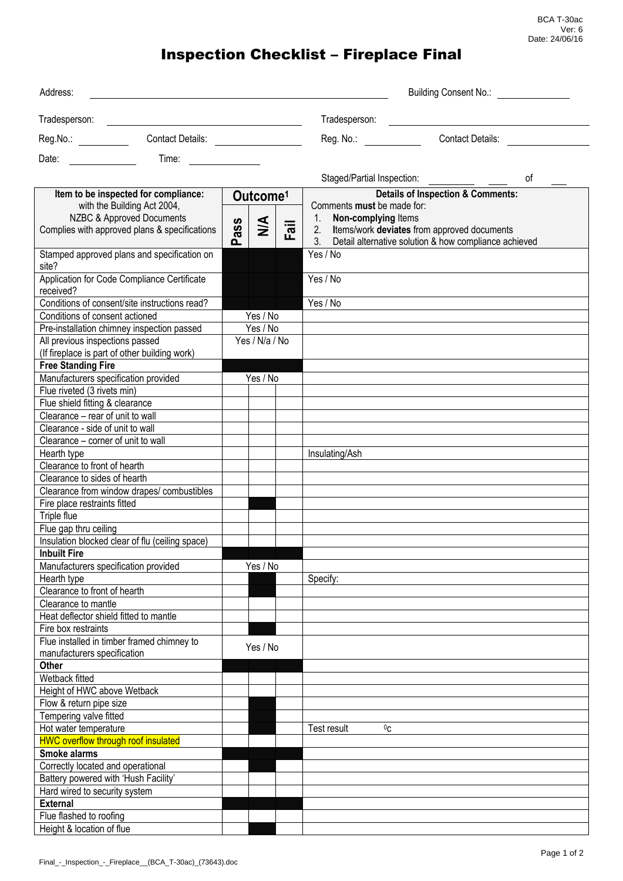BCA T-30ac Ver: 6 Date: 24/06/16

## Inspection Checklist – Fireplace Final

| Address:                                                                      |                      | <b>Building Consent No.:</b> |                                    |                                                          |    |
|-------------------------------------------------------------------------------|----------------------|------------------------------|------------------------------------|----------------------------------------------------------|----|
| Tradesperson:                                                                 |                      |                              | Tradesperson:                      |                                                          |    |
| Reg.No.: <b>Region</b>                                                        |                      |                              |                                    | Reg. No.: Contact Details:                               |    |
| Time:<br>Date:                                                                |                      |                              |                                    |                                                          |    |
|                                                                               |                      |                              |                                    |                                                          | οf |
|                                                                               |                      |                              |                                    | <b>Details of Inspection &amp; Comments:</b>             |    |
| Item to be inspected for compliance:<br>with the Building Act 2004,           |                      | Outcome <sup>1</sup>         | Comments must be made for:         |                                                          |    |
| NZBC & Approved Documents                                                     |                      |                              | Non-complying Items<br>$1_{\cdot}$ |                                                          |    |
| Complies with approved plans & specifications                                 | ass                  | $\leq$<br>Fail               |                                    | 2. Items/work deviates from approved documents           |    |
|                                                                               | ൨                    |                              |                                    | 3. Detail alternative solution & how compliance achieved |    |
| Stamped approved plans and specification on<br>site?                          |                      |                              | Yes / No                           |                                                          |    |
| Application for Code Compliance Certificate                                   |                      |                              | Yes / No                           |                                                          |    |
| received?                                                                     |                      |                              |                                    |                                                          |    |
| Conditions of consent/site instructions read?                                 |                      |                              | Yes / No                           |                                                          |    |
| Conditions of consent actioned                                                | Yes / No<br>Yes / No |                              |                                    |                                                          |    |
| Pre-installation chimney inspection passed<br>All previous inspections passed |                      | Yes / N/a / No               |                                    |                                                          |    |
| (If fireplace is part of other building work)                                 |                      |                              |                                    |                                                          |    |
| <b>Free Standing Fire</b>                                                     |                      |                              |                                    |                                                          |    |
| Manufacturers specification provided                                          |                      | Yes / No                     |                                    |                                                          |    |
| Flue riveted (3 rivets min)                                                   |                      |                              |                                    |                                                          |    |
| Flue shield fitting & clearance                                               |                      |                              |                                    |                                                          |    |
| Clearance - rear of unit to wall                                              |                      |                              |                                    |                                                          |    |
| Clearance - side of unit to wall                                              |                      |                              |                                    |                                                          |    |
| Clearance - corner of unit to wall                                            |                      |                              |                                    |                                                          |    |
| Hearth type                                                                   |                      |                              | Insulating/Ash                     |                                                          |    |
| Clearance to front of hearth                                                  |                      |                              |                                    |                                                          |    |
| Clearance to sides of hearth<br>Clearance from window drapes/ combustibles    |                      |                              |                                    |                                                          |    |
| Fire place restraints fitted                                                  |                      |                              |                                    |                                                          |    |
| Triple flue                                                                   |                      |                              |                                    |                                                          |    |
| Flue gap thru ceiling                                                         |                      |                              |                                    |                                                          |    |
| Insulation blocked clear of flu (ceiling space)                               |                      |                              |                                    |                                                          |    |
| <b>Inbuilt Fire</b>                                                           |                      |                              |                                    |                                                          |    |
| Manufacturers specification provided                                          |                      | Yes / No                     |                                    |                                                          |    |
| Hearth type                                                                   |                      |                              | Specify:                           |                                                          |    |
| Clearance to front of hearth                                                  |                      |                              |                                    |                                                          |    |
| Clearance to mantle                                                           |                      |                              |                                    |                                                          |    |
| Heat deflector shield fitted to mantle                                        |                      |                              |                                    |                                                          |    |
| Fire box restraints<br>Flue installed in timber framed chimney to             |                      |                              |                                    |                                                          |    |
| manufacturers specification                                                   |                      | Yes / No                     |                                    |                                                          |    |
| <b>Other</b>                                                                  |                      |                              |                                    |                                                          |    |
| Wetback fitted                                                                |                      |                              |                                    |                                                          |    |
| Height of HWC above Wetback                                                   |                      |                              |                                    |                                                          |    |
| Flow & return pipe size                                                       |                      |                              |                                    |                                                          |    |
| Tempering valve fitted                                                        |                      |                              |                                    |                                                          |    |
| Hot water temperature                                                         |                      |                              | $^{0}$ C<br>Test result            |                                                          |    |
| <b>HWC overflow through roof insulated</b>                                    |                      |                              |                                    |                                                          |    |
| <b>Smoke alarms</b>                                                           |                      |                              |                                    |                                                          |    |
| Correctly located and operational                                             |                      |                              |                                    |                                                          |    |
| Battery powered with 'Hush Facility'<br>Hard wired to security system         |                      |                              |                                    |                                                          |    |
| <b>External</b>                                                               |                      |                              |                                    |                                                          |    |
| Flue flashed to roofing                                                       |                      |                              |                                    |                                                          |    |
| Height & location of flue                                                     |                      |                              |                                    |                                                          |    |